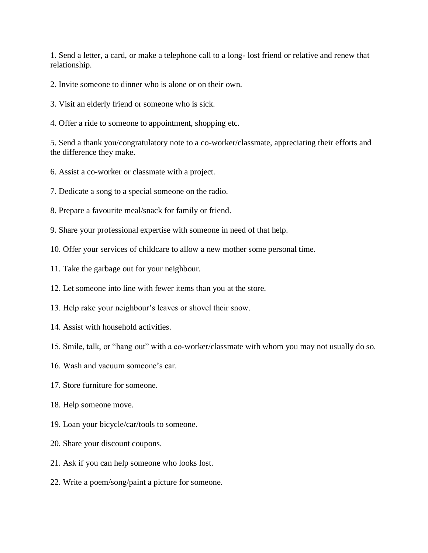1. Send a letter, a card, or make a telephone call to a long- lost friend or relative and renew that relationship.

- 2. Invite someone to dinner who is alone or on their own.
- 3. Visit an elderly friend or someone who is sick.
- 4. Offer a ride to someone to appointment, shopping etc.

5. Send a thank you/congratulatory note to a co-worker/classmate, appreciating their efforts and the difference they make.

- 6. Assist a co-worker or classmate with a project.
- 7. Dedicate a song to a special someone on the radio.
- 8. Prepare a favourite meal/snack for family or friend.
- 9. Share your professional expertise with someone in need of that help.
- 10. Offer your services of childcare to allow a new mother some personal time.
- 11. Take the garbage out for your neighbour.
- 12. Let someone into line with fewer items than you at the store.
- 13. Help rake your neighbour's leaves or shovel their snow.
- 14. Assist with household activities.
- 15. Smile, talk, or "hang out" with a co-worker/classmate with whom you may not usually do so.
- 16. Wash and vacuum someone's car.
- 17. Store furniture for someone.
- 18. Help someone move.
- 19. Loan your bicycle/car/tools to someone.
- 20. Share your discount coupons.
- 21. Ask if you can help someone who looks lost.
- 22. Write a poem/song/paint a picture for someone.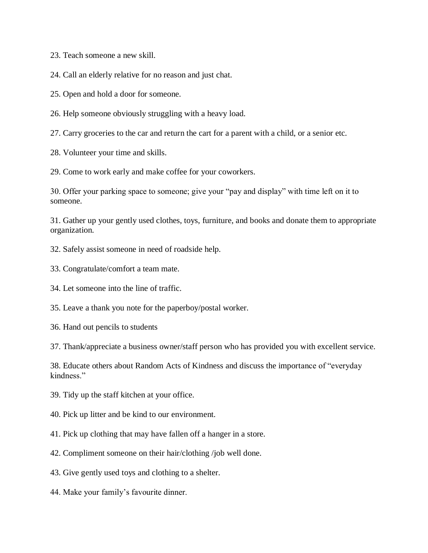23. Teach someone a new skill.

24. Call an elderly relative for no reason and just chat.

25. Open and hold a door for someone.

26. Help someone obviously struggling with a heavy load.

27. Carry groceries to the car and return the cart for a parent with a child, or a senior etc.

28. Volunteer your time and skills.

29. Come to work early and make coffee for your coworkers.

30. Offer your parking space to someone; give your "pay and display" with time left on it to someone.

31. Gather up your gently used clothes, toys, furniture, and books and donate them to appropriate organization.

- 32. Safely assist someone in need of roadside help.
- 33. Congratulate/comfort a team mate.
- 34. Let someone into the line of traffic.
- 35. Leave a thank you note for the paperboy/postal worker.
- 36. Hand out pencils to students

37. Thank/appreciate a business owner/staff person who has provided you with excellent service.

38. Educate others about Random Acts of Kindness and discuss the importance of "everyday kindness."

- 39. Tidy up the staff kitchen at your office.
- 40. Pick up litter and be kind to our environment.
- 41. Pick up clothing that may have fallen off a hanger in a store.
- 42. Compliment someone on their hair/clothing /job well done.
- 43. Give gently used toys and clothing to a shelter.
- 44. Make your family's favourite dinner.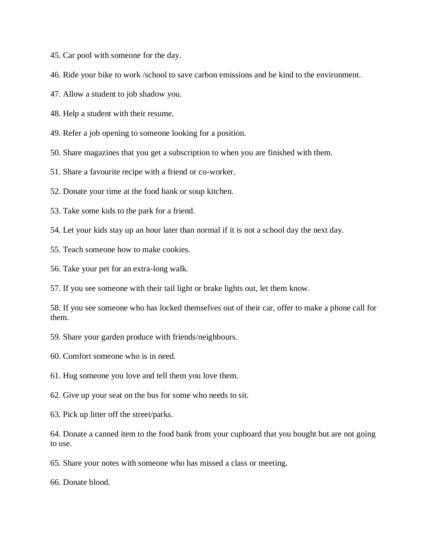45. Car pool with someone for the day.

46. Ride your bike to work /school to save carbon emissions and be kind to the environment.

47. Allow a student to job shadow you.

48. Help a student with their resume.

49. Refer a job opening to someone looking for a position.

50. Share magazines that you get a subscription to when you are finished with them.

51. Share a favourite recipe with a friend or co-worker.

52. Donate your time at the food bank or soup kitchen.

53. Take some kids to the park for a friend.

54. Let your kids stay up an hour later than normal if it is not a school day the next day.

55. Teach someone how to make cookies.

56. Take your pet for an extra-long walk.

57. If you see someone with their tail light or brake lights out, let them know.

58. If you see someone who has locked themselves out of their car, offer to make a phone call for them.

59. Share your garden produce with friends/neighbours.

60. Comfort someone who is in need.

61. Hug someone you love and tell them you love them.

62. Give up your seat on the bus for some who needs to sit.

63. Pick up litter off the street/parks.

64. Donate a canned item to the food bank from your cupboard that you bought but are not going to use.

65. Share your notes with someone who has missed a class or meeting.

66. Donate blood.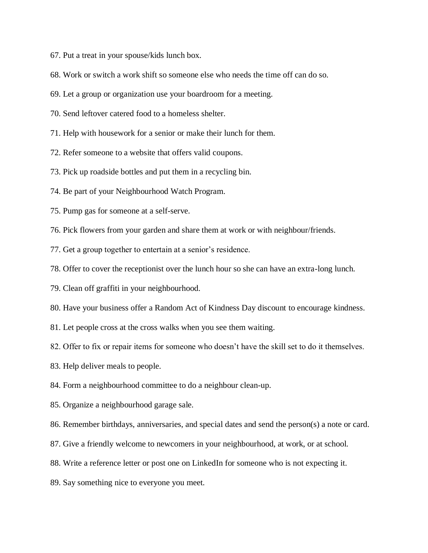- 67. Put a treat in your spouse/kids lunch box.
- 68. Work or switch a work shift so someone else who needs the time off can do so.
- 69. Let a group or organization use your boardroom for a meeting.
- 70. Send leftover catered food to a homeless shelter.
- 71. Help with housework for a senior or make their lunch for them.
- 72. Refer someone to a website that offers valid coupons.
- 73. Pick up roadside bottles and put them in a recycling bin.
- 74. Be part of your Neighbourhood Watch Program.
- 75. Pump gas for someone at a self-serve.
- 76. Pick flowers from your garden and share them at work or with neighbour/friends.
- 77. Get a group together to entertain at a senior's residence.
- 78. Offer to cover the receptionist over the lunch hour so she can have an extra-long lunch.
- 79. Clean off graffiti in your neighbourhood.
- 80. Have your business offer a Random Act of Kindness Day discount to encourage kindness.
- 81. Let people cross at the cross walks when you see them waiting.
- 82. Offer to fix or repair items for someone who doesn't have the skill set to do it themselves.
- 83. Help deliver meals to people.
- 84. Form a neighbourhood committee to do a neighbour clean-up.
- 85. Organize a neighbourhood garage sale.
- 86. Remember birthdays, anniversaries, and special dates and send the person(s) a note or card.
- 87. Give a friendly welcome to newcomers in your neighbourhood, at work, or at school.
- 88. Write a reference letter or post one on LinkedIn for someone who is not expecting it.
- 89. Say something nice to everyone you meet.